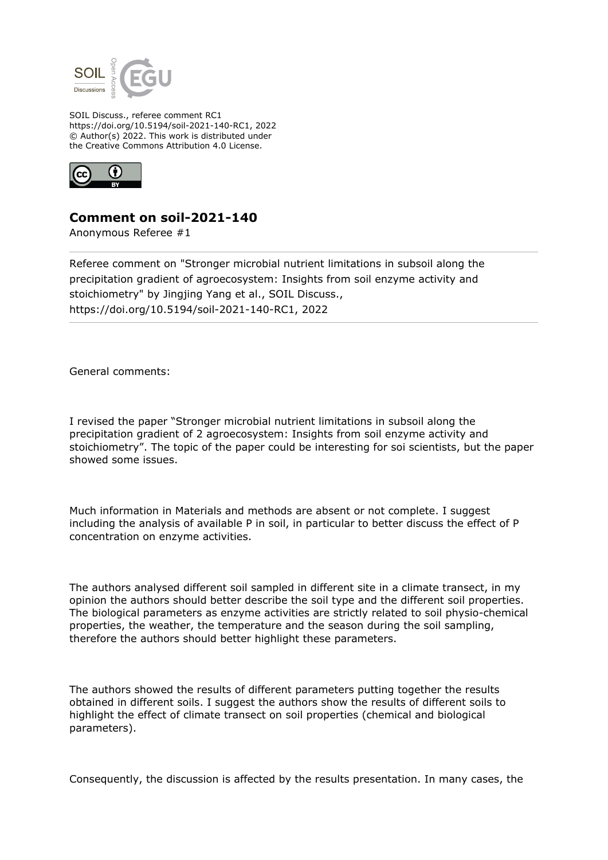

SOIL Discuss., referee comment RC1 https://doi.org/10.5194/soil-2021-140-RC1, 2022 © Author(s) 2022. This work is distributed under the Creative Commons Attribution 4.0 License.



## **Comment on soil-2021-140**

Anonymous Referee #1

Referee comment on "Stronger microbial nutrient limitations in subsoil along the precipitation gradient of agroecosystem: Insights from soil enzyme activity and stoichiometry" by Jingjing Yang et al., SOIL Discuss., https://doi.org/10.5194/soil-2021-140-RC1, 2022

General comments:

I revised the paper "Stronger microbial nutrient limitations in subsoil along the precipitation gradient of 2 agroecosystem: Insights from soil enzyme activity and stoichiometry". The topic of the paper could be interesting for soi scientists, but the paper showed some issues.

Much information in Materials and methods are absent or not complete. I suggest including the analysis of available P in soil, in particular to better discuss the effect of P concentration on enzyme activities.

The authors analysed different soil sampled in different site in a climate transect, in my opinion the authors should better describe the soil type and the different soil properties. The biological parameters as enzyme activities are strictly related to soil physio-chemical properties, the weather, the temperature and the season during the soil sampling, therefore the authors should better highlight these parameters.

The authors showed the results of different parameters putting together the results obtained in different soils. I suggest the authors show the results of different soils to highlight the effect of climate transect on soil properties (chemical and biological parameters).

Consequently, the discussion is affected by the results presentation. In many cases, the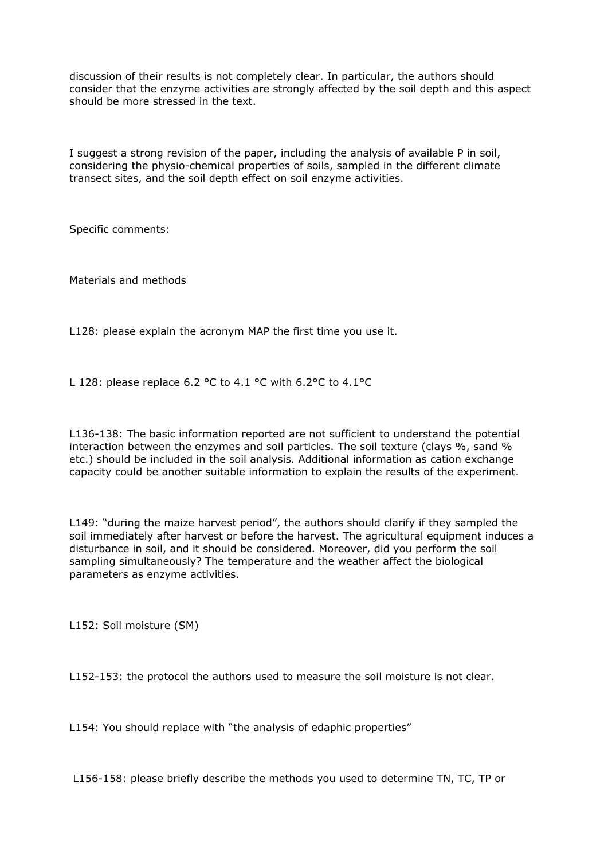discussion of their results is not completely clear. In particular, the authors should consider that the enzyme activities are strongly affected by the soil depth and this aspect should be more stressed in the text.

I suggest a strong revision of the paper, including the analysis of available P in soil, considering the physio-chemical properties of soils, sampled in the different climate transect sites, and the soil depth effect on soil enzyme activities.

Specific comments:

Materials and methods

L128: please explain the acronym MAP the first time you use it.

L 128: please replace 6.2 °C to 4.1 °C with 6.2°C to 4.1°C

L136-138: The basic information reported are not sufficient to understand the potential interaction between the enzymes and soil particles. The soil texture (clays %, sand % etc.) should be included in the soil analysis. Additional information as cation exchange capacity could be another suitable information to explain the results of the experiment.

L149: "during the maize harvest period", the authors should clarify if they sampled the soil immediately after harvest or before the harvest. The agricultural equipment induces a disturbance in soil, and it should be considered. Moreover, did you perform the soil sampling simultaneously? The temperature and the weather affect the biological parameters as enzyme activities.

L152: Soil moisture (SM)

L152-153: the protocol the authors used to measure the soil moisture is not clear.

L154: You should replace with "the analysis of edaphic properties"

L156-158: please briefly describe the methods you used to determine TN, TC, TP or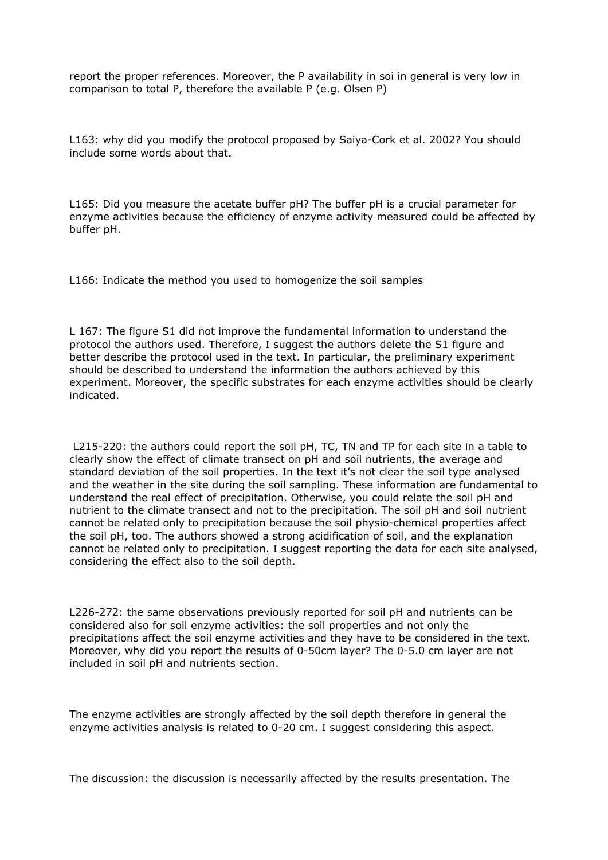report the proper references. Moreover, the P availability in soi in general is very low in comparison to total P, therefore the available P (e.g. Olsen P)

L163: why did you modify the protocol proposed by Saiya-Cork et al. 2002? You should include some words about that.

L165: Did you measure the acetate buffer pH? The buffer pH is a crucial parameter for enzyme activities because the efficiency of enzyme activity measured could be affected by buffer pH.

L166: Indicate the method you used to homogenize the soil samples

L 167: The figure S1 did not improve the fundamental information to understand the protocol the authors used. Therefore, I suggest the authors delete the S1 figure and better describe the protocol used in the text. In particular, the preliminary experiment should be described to understand the information the authors achieved by this experiment. Moreover, the specific substrates for each enzyme activities should be clearly indicated.

 L215-220: the authors could report the soil pH, TC, TN and TP for each site in a table to clearly show the effect of climate transect on pH and soil nutrients, the average and standard deviation of the soil properties. In the text it's not clear the soil type analysed and the weather in the site during the soil sampling. These information are fundamental to understand the real effect of precipitation. Otherwise, you could relate the soil pH and nutrient to the climate transect and not to the precipitation. The soil pH and soil nutrient cannot be related only to precipitation because the soil physio-chemical properties affect the soil pH, too. The authors showed a strong acidification of soil, and the explanation cannot be related only to precipitation. I suggest reporting the data for each site analysed, considering the effect also to the soil depth.

L226-272: the same observations previously reported for soil pH and nutrients can be considered also for soil enzyme activities: the soil properties and not only the precipitations affect the soil enzyme activities and they have to be considered in the text. Moreover, why did you report the results of 0-50cm layer? The 0-5.0 cm layer are not included in soil pH and nutrients section.

The enzyme activities are strongly affected by the soil depth therefore in general the enzyme activities analysis is related to 0-20 cm. I suggest considering this aspect.

The discussion: the discussion is necessarily affected by the results presentation. The